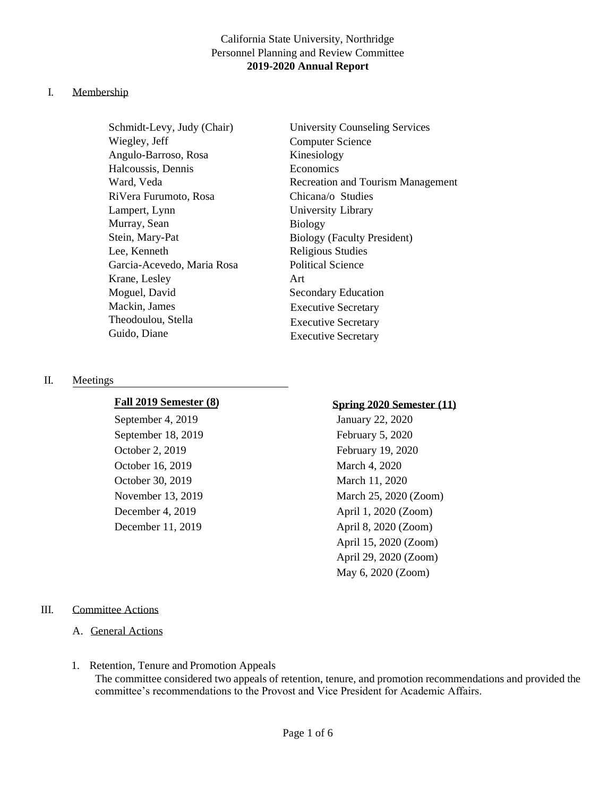# California State University, Northridge Personnel Planning and Review Committee **2019-2020 Annual Report**

## I. Membership

Schmidt-Levy, Judy (Chair) Wiegley, Jeff Angulo-Barroso, Rosa Halcoussis, Dennis Ward, Veda RiVera Furumoto, Rosa Lampert, Lynn Murray, Sean Stein, Mary-Pat Lee, Kenneth Garcia-Acevedo, Maria Rosa Krane, Lesley Moguel, David Mackin, James Theodoulou, Stella Guido, Diane

University Counseling Services Computer Science Kinesiology Economics Recreation and Tourism Management Chicana/o Studies University Library Biology Biology (Faculty President) Religious Studies Political Science Art Secondary Education Executive Secretary Executive Secretary Executive Secretary

#### II. Meetings

September 4, 2019 January 22, 2020 September 18, 2019 February 5, 2020 October 2, 2019 February 19, 2020 October 16, 2019 March 4, 2020 October 30, 2019 March 11, 2020

# **Fall 2019 Semester (8) Spring 2020 Semester (11)**

November 13, 2019 March 25, 2020 (Zoom) December 4, 2019 April 1, 2020 (Zoom) December 11, 2019 April 8, 2020 (Zoom) April 15, 2020 (Zoom) April 29, 2020 (Zoom) May 6, 2020 (Zoom)

#### III. Committee Actions

- A. General Actions
- 1. Retention, Tenure and Promotion Appeals The committee considered two appeals of retention, tenure, and promotion recommendations and provided the committee's recommendations to the Provost and Vice President for Academic Affairs.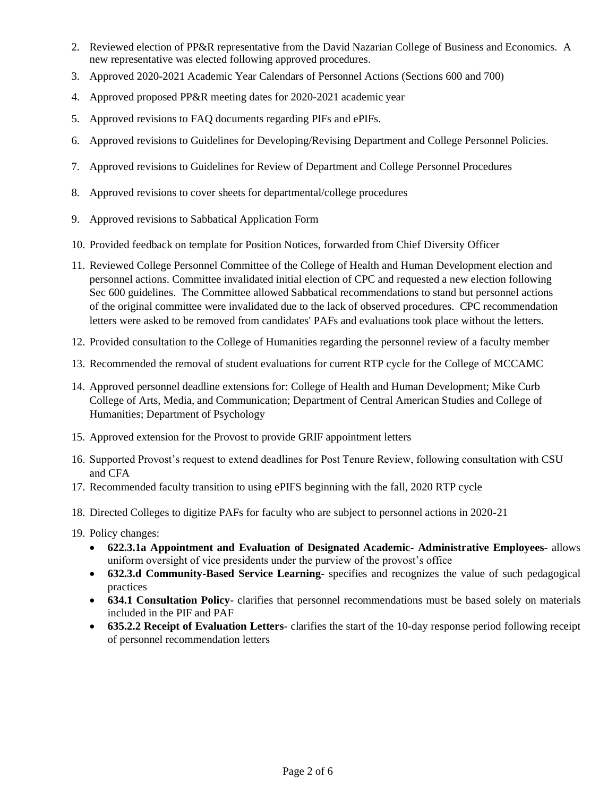- 2. Reviewed election of PP&R representative from the David Nazarian College of Business and Economics. A new representative was elected following approved procedures.
- 3. Approved 2020-2021 Academic Year Calendars of Personnel Actions (Sections 600 and 700)
- 4. Approved proposed PP&R meeting dates for 2020-2021 academic year
- 5. Approved revisions to FAQ documents regarding PIFs and ePIFs.
- 6. Approved revisions to Guidelines for Developing/Revising Department and College Personnel Policies.
- 7. Approved revisions to Guidelines for Review of Department and College Personnel Procedures
- 8. Approved revisions to cover sheets for departmental/college procedures
- 9. Approved revisions to Sabbatical Application Form
- 10. Provided feedback on template for Position Notices, forwarded from Chief Diversity Officer
- 11. Reviewed College Personnel Committee of the College of Health and Human Development election and personnel actions. Committee invalidated initial election of CPC and requested a new election following Sec 600 guidelines. The Committee allowed Sabbatical recommendations to stand but personnel actions of the original committee were invalidated due to the lack of observed procedures. CPC recommendation letters were asked to be removed from candidates' PAFs and evaluations took place without the letters.
- 12. Provided consultation to the College of Humanities regarding the personnel review of a faculty member
- 13. Recommended the removal of student evaluations for current RTP cycle for the College of MCCAMC
- 14. Approved personnel deadline extensions for: College of Health and Human Development; Mike Curb College of Arts, Media, and Communication; Department of Central American Studies and College of Humanities; Department of Psychology
- 15. Approved extension for the Provost to provide GRIF appointment letters
- 16. Supported Provost's request to extend deadlines for Post Tenure Review, following consultation with CSU and CFA
- 17. Recommended faculty transition to using ePIFS beginning with the fall, 2020 RTP cycle
- 18. Directed Colleges to digitize PAFs for faculty who are subject to personnel actions in 2020-21
- 19. Policy changes:
	- **622.3.1a Appointment and Evaluation of Designated Academic- Administrative Employees** allows uniform oversight of vice presidents under the purview of the provost's office
	- **632.3.d Community-Based Service Learning** specifies and recognizes the value of such pedagogical practices
	- **634.1 Consultation Policy** clarifies that personnel recommendations must be based solely on materials included in the PIF and PAF
	- **635.2.2 Receipt of Evaluation Letters** clarifies the start of the 10-day response period following receipt of personnel recommendation letters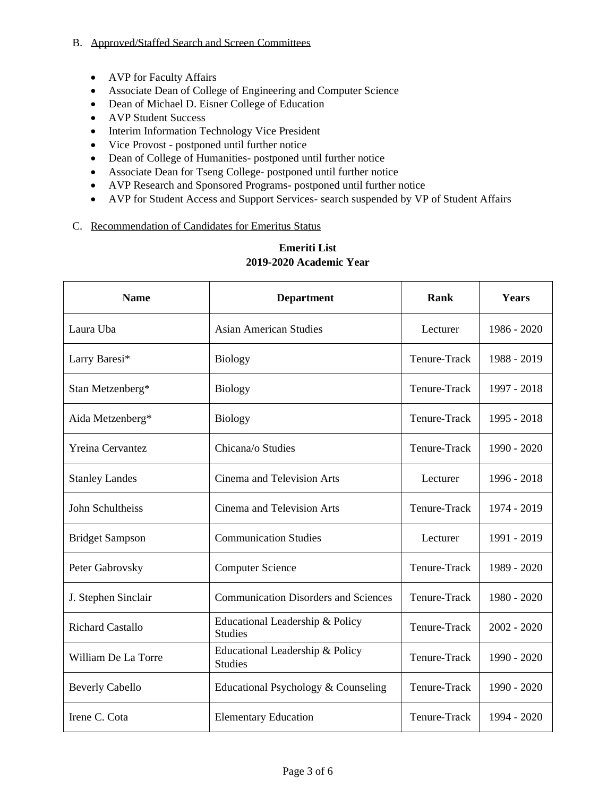## B. Approved/Staffed Search and Screen Committees

- AVP for Faculty Affairs
- Associate Dean of College of Engineering and Computer Science
- Dean of Michael D. Eisner College of Education
- AVP Student Success
- Interim Information Technology Vice President
- Vice Provost postponed until further notice
- Dean of College of Humanities- postponed until further notice
- Associate Dean for Tseng College- postponed until further notice
- AVP Research and Sponsored Programs- postponed until further notice
- AVP for Student Access and Support Services- search suspended by VP of Student Affairs

## C. Recommendation of Candidates for Emeritus Status

| <b>Name</b>             | <b>Department</b>                                                 | Rank         | Years         |
|-------------------------|-------------------------------------------------------------------|--------------|---------------|
| Laura Uba               | <b>Asian American Studies</b><br>Lecturer                         |              | 1986 - 2020   |
| Larry Baresi*           | Tenure-Track<br><b>Biology</b>                                    |              | 1988 - 2019   |
| Stan Metzenberg*        | <b>Biology</b>                                                    | Tenure-Track | 1997 - 2018   |
| Aida Metzenberg*        | <b>Biology</b>                                                    | Tenure-Track | 1995 - 2018   |
| <b>Yreina Cervantez</b> | Tenure-Track<br>Chicana/o Studies                                 |              | 1990 - 2020   |
| <b>Stanley Landes</b>   | Cinema and Television Arts<br>Lecturer                            |              | 1996 - 2018   |
| John Schultheiss        | Cinema and Television Arts                                        | Tenure-Track | 1974 - 2019   |
| <b>Bridget Sampson</b>  | <b>Communication Studies</b>                                      | Lecturer     | 1991 - 2019   |
| Peter Gabrovsky         | <b>Computer Science</b>                                           | Tenure-Track | 1989 - 2020   |
| J. Stephen Sinclair     | <b>Communication Disorders and Sciences</b>                       | Tenure-Track | 1980 - 2020   |
| <b>Richard Castallo</b> | Educational Leadership & Policy<br>Tenure-Track<br><b>Studies</b> |              | $2002 - 2020$ |
| William De La Torre     | Educational Leadership & Policy<br><b>Studies</b>                 | Tenure-Track | 1990 - 2020   |
| <b>Beverly Cabello</b>  | Educational Psychology & Counseling                               | Tenure-Track | 1990 - 2020   |
| Irene C. Cota           | Tenure-Track<br><b>Elementary Education</b>                       |              | 1994 - 2020   |

# **Emeriti List 2019-2020 Academic Year**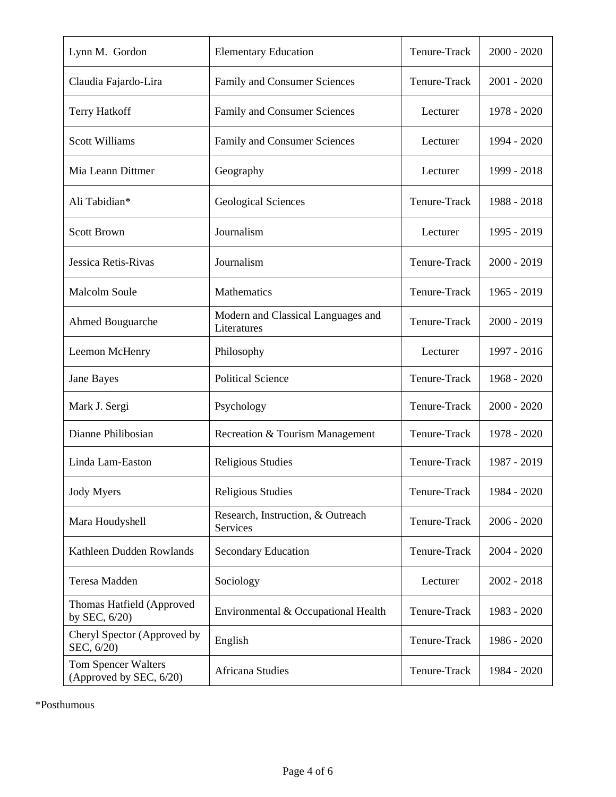| Lynn M. Gordon                                 | Tenure-Track<br><b>Elementary Education</b>                   |              | $2000 - 2020$ |
|------------------------------------------------|---------------------------------------------------------------|--------------|---------------|
| Claudia Fajardo-Lira                           | <b>Family and Consumer Sciences</b>                           | Tenure-Track | $2001 - 2020$ |
| <b>Terry Hatkoff</b>                           | Family and Consumer Sciences<br>Lecturer                      |              | 1978 - 2020   |
| <b>Scott Williams</b>                          | Family and Consumer Sciences<br>Lecturer                      |              | 1994 - 2020   |
| Mia Leann Dittmer                              | Geography<br>Lecturer                                         |              | 1999 - 2018   |
| Ali Tabidian*                                  | Tenure-Track<br><b>Geological Sciences</b>                    |              | 1988 - 2018   |
| <b>Scott Brown</b>                             | Journalism                                                    | Lecturer     | 1995 - 2019   |
| Jessica Retis-Rivas                            | Journalism                                                    | Tenure-Track | $2000 - 2019$ |
| <b>Malcolm Soule</b>                           | Mathematics                                                   | Tenure-Track | 1965 - 2019   |
| Ahmed Bouguarche                               | Modern and Classical Languages and<br>Literatures             | Tenure-Track | $2000 - 2019$ |
| Leemon McHenry                                 | Philosophy                                                    | Lecturer     | 1997 - 2016   |
| Jane Bayes                                     | <b>Political Science</b>                                      | Tenure-Track | 1968 - 2020   |
| Mark J. Sergi                                  | Psychology                                                    | Tenure-Track | $2000 - 2020$ |
| Dianne Philibosian                             | Recreation & Tourism Management                               | Tenure-Track | 1978 - 2020   |
| Linda Lam-Easton                               | Religious Studies                                             | Tenure-Track | 1987 - 2019   |
| <b>Jody Myers</b>                              | <b>Religious Studies</b>                                      | Tenure-Track | 1984 - 2020   |
| Mara Houdyshell                                | Research, Instruction, & Outreach<br>Tenure-Track<br>Services |              | $2006 - 2020$ |
| Kathleen Dudden Rowlands                       | Tenure-Track<br><b>Secondary Education</b>                    |              | $2004 - 2020$ |
| Teresa Madden                                  | Sociology<br>Lecturer                                         |              | $2002 - 2018$ |
| Thomas Hatfield (Approved<br>by SEC, $6/20$ )  | Environmental & Occupational Health                           | Tenure-Track | 1983 - 2020   |
| Cheryl Spector (Approved by<br>SEC, 6/20)      | English                                                       | Tenure-Track | 1986 - 2020   |
| Tom Spencer Walters<br>(Approved by SEC, 6/20) | Africana Studies                                              | Tenure-Track | 1984 - 2020   |

\*Posthumous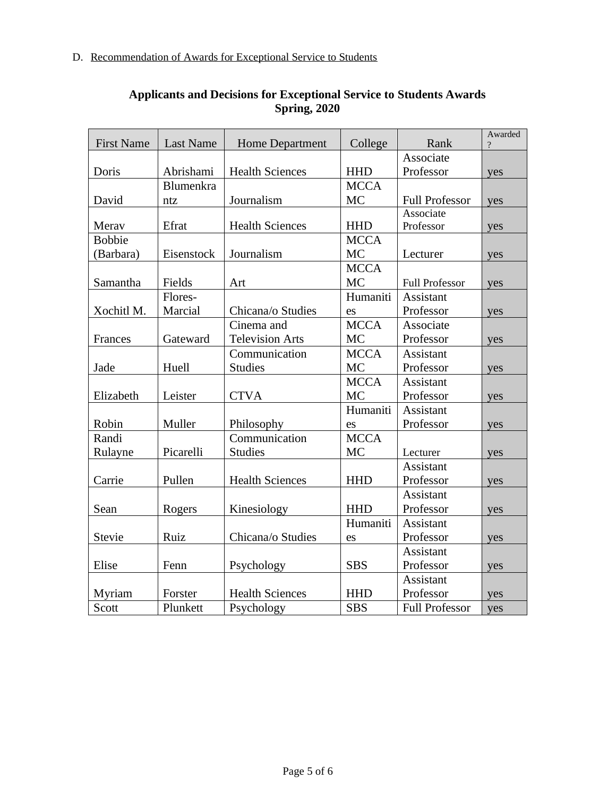| <b>First Name</b> | <b>Last Name</b> | <b>Home Department</b><br>College<br>Rank |             | Awarded<br>$\gamma$   |     |
|-------------------|------------------|-------------------------------------------|-------------|-----------------------|-----|
|                   |                  |                                           |             | Associate             |     |
| Doris             | Abrishami        | <b>Health Sciences</b>                    | <b>HHD</b>  | Professor             | yes |
|                   | Blumenkra        |                                           | <b>MCCA</b> |                       |     |
| David             | ntz              | Journalism                                | <b>MC</b>   | <b>Full Professor</b> | yes |
|                   |                  |                                           |             | Associate             |     |
| Merav             | Efrat            | <b>Health Sciences</b>                    | <b>HHD</b>  | Professor             | yes |
| <b>Bobbie</b>     |                  |                                           | <b>MCCA</b> |                       |     |
| (Barbara)         | Eisenstock       | Journalism                                | <b>MC</b>   | Lecturer              | yes |
|                   |                  |                                           | <b>MCCA</b> |                       |     |
| Samantha          | Fields           | Art                                       | <b>MC</b>   | <b>Full Professor</b> | yes |
|                   | Flores-          |                                           | Humaniti    | <b>Assistant</b>      |     |
| Xochitl M.        | Marcial          | Chicana/o Studies                         | es          | Professor             | yes |
|                   |                  | Cinema and                                | <b>MCCA</b> | Associate             |     |
| Frances           | Gateward         | <b>Television Arts</b>                    | <b>MC</b>   | Professor             | yes |
|                   |                  | Communication                             | <b>MCCA</b> | <b>Assistant</b>      |     |
| Jade              | Huell            | <b>Studies</b>                            | <b>MC</b>   | Professor             | yes |
|                   |                  |                                           | <b>MCCA</b> | Assistant             |     |
| Elizabeth         | Leister          | <b>CTVA</b>                               | <b>MC</b>   | Professor             | yes |
|                   |                  |                                           | Humaniti    | Assistant             |     |
| Robin             | Muller           | Philosophy                                | es          | Professor             | yes |
| Randi             |                  | Communication                             | <b>MCCA</b> |                       |     |
| Rulayne           | Picarelli        | <b>Studies</b>                            | <b>MC</b>   | Lecturer              | yes |
|                   |                  |                                           |             | Assistant             |     |
| Carrie            | Pullen           | <b>Health Sciences</b>                    | <b>HHD</b>  | Professor             | yes |
|                   |                  |                                           |             | Assistant             |     |
| Sean              | Rogers           | Kinesiology                               | <b>HHD</b>  | Professor             | yes |
|                   |                  |                                           | Humaniti    | Assistant             |     |
| <b>Stevie</b>     | Ruiz             | Chicana/o Studies                         | es          | Professor             | yes |
|                   |                  |                                           |             | Assistant             |     |
| Elise             | Fenn             | Psychology                                | <b>SBS</b>  | Professor             | yes |
|                   |                  |                                           |             | <b>Assistant</b>      |     |
| Myriam            | Forster          | <b>Health Sciences</b>                    | <b>HHD</b>  | Professor             | yes |
| Scott             | Plunkett         | Psychology                                | <b>SBS</b>  | <b>Full Professor</b> | yes |

# **Applicants and Decisions for Exceptional Service to Students Awards Spring, 2020**